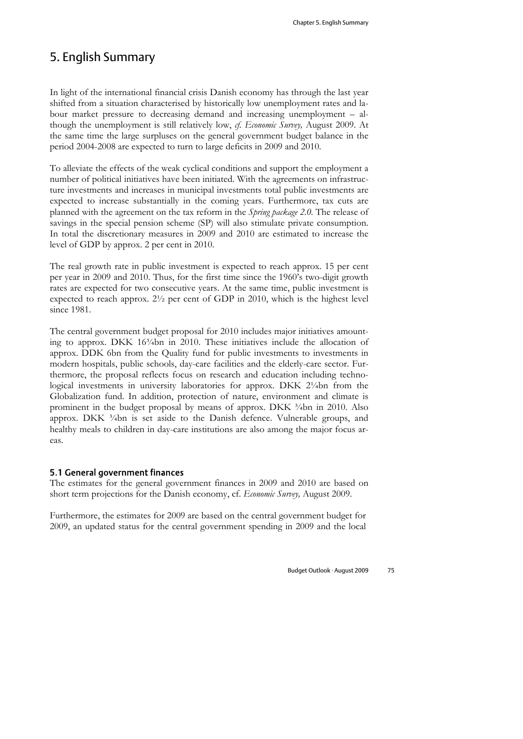# 5. English Summary

In light of the international financial crisis Danish economy has through the last year shifted from a situation characterised by historically low unemployment rates and labour market pressure to decreasing demand and increasing unemployment – although the unemployment is still relatively low, *cf. Economic Survey,* August 2009. At the same time the large surpluses on the general government budget balance in the period 2004-2008 are expected to turn to large deficits in 2009 and 2010.

To alleviate the effects of the weak cyclical conditions and support the employment a number of political initiatives have been initiated. With the agreements on infrastructure investments and increases in municipal investments total public investments are expected to increase substantially in the coming years. Furthermore, tax cuts are planned with the agreement on the tax reform in the *Spring package 2.0.* The release of savings in the special pension scheme (SP) will also stimulate private consumption. In total the discretionary measures in 2009 and 2010 are estimated to increase the level of GDP by approx. 2 per cent in 2010.

The real growth rate in public investment is expected to reach approx. 15 per cent per year in 2009 and 2010. Thus, for the first time since the 1960's two-digit growth rates are expected for two consecutive years. At the same time, public investment is expected to reach approx. 2½ per cent of GDP in 2010, which is the highest level since 1981.

The central government budget proposal for 2010 includes major initiatives amounting to approx. DKK 16<sup>3</sup>/<sub>4</sub>bn in 2010. These initiatives include the allocation of approx. DDK 6bn from the Quality fund for public investments to investments in modern hospitals, public schools, day-care facilities and the elderly-care sector. Furthermore, the proposal reflects focus on research and education including technological investments in university laboratories for approx. DKK 2¼bn from the Globalization fund. In addition, protection of nature, environment and climate is prominent in the budget proposal by means of approx. DKK  $\frac{3}{4}$ bn in 2010. Also approx. DKK  $\frac{3}{4}$ bn is set aside to the Danish defence. Vulnerable groups, and healthy meals to children in day-care institutions are also among the major focus areas.

#### 5.1 General government finances

The estimates for the general government finances in 2009 and 2010 are based on short term projections for the Danish economy, cf. *Economic Survey,* August 2009.

Furthermore, the estimates for 2009 are based on the central government budget for 2009, an updated status for the central government spending in 2009 and the local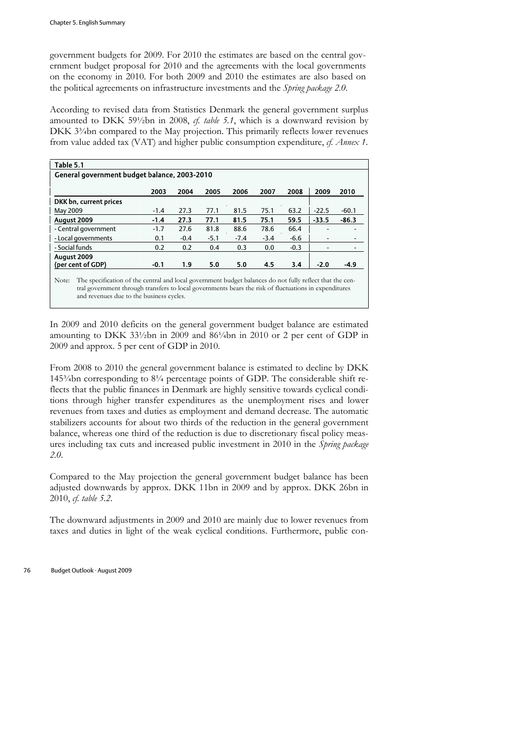government budgets for 2009. For 2010 the estimates are based on the central government budget proposal for 2010 and the agreements with the local governments on the economy in 2010. For both 2009 and 2010 the estimates are also based on the political agreements on infrastructure investments and the *Spring package 2.0*.

According to revised data from Statistics Denmark the general government surplus amounted to DKK 59½bn in 2008, *cf. table 5.1*, which is a downward revision by DKK 3<sup>3</sup>/4bn compared to the May projection. This primarily reflects lower revenues from value added tax (VAT) and higher public consumption expenditure, *cf. Annex 1*.

| Table 5.1                                                                                                         |        |        |        |        |        |        |         |                          |  |
|-------------------------------------------------------------------------------------------------------------------|--------|--------|--------|--------|--------|--------|---------|--------------------------|--|
| General government budget balance, 2003-2010                                                                      |        |        |        |        |        |        |         |                          |  |
|                                                                                                                   | 2003   | 2004   | 2005   | 2006   | 2007   | 2008   | 2009    | 2010                     |  |
| DKK bn, current prices                                                                                            |        |        |        |        |        |        |         |                          |  |
| May 2009                                                                                                          | $-1.4$ | 27.3   | 77.1   | 81.5   | 75.1   | 63.2   | $-22.5$ | $-60.1$                  |  |
| August 2009                                                                                                       | $-1.4$ | 27.3   | 77.1   | 81.5   | 75.1   | 59.5   | $-33.5$ | $-86.3$                  |  |
| - Central government                                                                                              | $-1.7$ | 27.6   | 81.8   | 88.6   | 78.6   | 66.4   |         | -                        |  |
| - Local governments                                                                                               | 0.1    | $-0.4$ | $-5.1$ | $-7.4$ | $-3.4$ | $-6.6$ |         | -                        |  |
| - Social funds                                                                                                    | 0.2    | 0.2    | 0.4    | 0.3    | 0.0    | $-0.3$ |         | $\overline{\phantom{a}}$ |  |
| August 2009                                                                                                       |        |        |        |        |        |        |         |                          |  |
| (per cent of GDP)                                                                                                 | $-0.1$ | 1.9    | 5.0    | 5.0    | 4.5    | 3.4    | $-2.0$  | $-4.9$                   |  |
| The specification of the central and local government budget balances do not fully reflect that the cen-<br>Note: |        |        |        |        |        |        |         |                          |  |

tral government through transfers to local governments bears the risk of fluctuations in expenditures and revenues due to the business cycles.

In 2009 and 2010 deficits on the general government budget balance are estimated amounting to DKK 33½bn in 2009 and 86¼bn in 2010 or 2 per cent of GDP in 2009 and approx. 5 per cent of GDP in 2010.

From 2008 to 2010 the general government balance is estimated to decline by DKK 145¾bn corresponding to 8¼ percentage points of GDP. The considerable shift reflects that the public finances in Denmark are highly sensitive towards cyclical conditions through higher transfer expenditures as the unemployment rises and lower revenues from taxes and duties as employment and demand decrease. The automatic stabilizers accounts for about two thirds of the reduction in the general government balance, whereas one third of the reduction is due to discretionary fiscal policy measures including tax cuts and increased public investment in 2010 in the *Spring package 2.0*.

Compared to the May projection the general government budget balance has been adjusted downwards by approx. DKK 11bn in 2009 and by approx. DKK 26bn in 2010, *cf. table 5.2*.

The downward adjustments in 2009 and 2010 are mainly due to lower revenues from taxes and duties in light of the weak cyclical conditions. Furthermore, public con-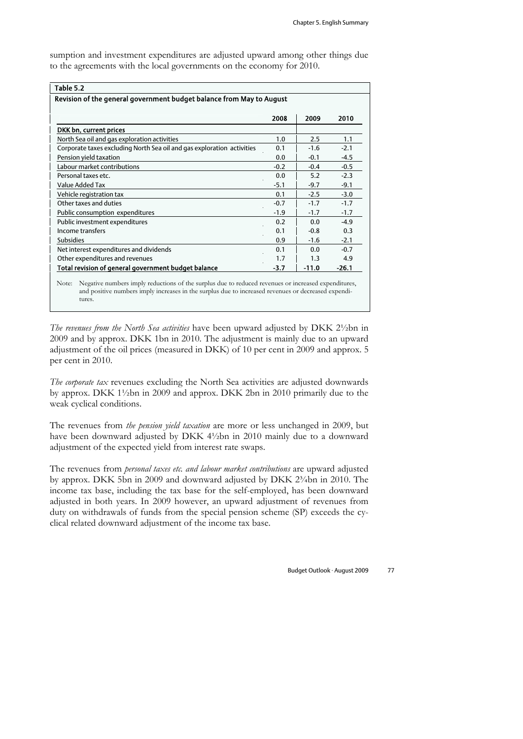sumption and investment expenditures are adjusted upward among other things due to the agreements with the local governments on the economy for 2010.

| Table 5.2                                                              |        |         |         |  |  |  |  |  |  |
|------------------------------------------------------------------------|--------|---------|---------|--|--|--|--|--|--|
| Revision of the general government budget balance from May to August   |        |         |         |  |  |  |  |  |  |
|                                                                        |        |         |         |  |  |  |  |  |  |
|                                                                        | 2008   | 2009    | 2010    |  |  |  |  |  |  |
| DKK bn, current prices                                                 |        |         |         |  |  |  |  |  |  |
| North Sea oil and gas exploration activities                           | 1.0    | 2.5     | 1.1     |  |  |  |  |  |  |
| Corporate taxes excluding North Sea oil and gas exploration activities | 0.1    | $-1.6$  | $-2.1$  |  |  |  |  |  |  |
| Pension yield taxation                                                 | 0.0    | $-0.1$  | $-4.5$  |  |  |  |  |  |  |
| Labour market contributions                                            | $-0.2$ | $-0.4$  | $-0.5$  |  |  |  |  |  |  |
| Personal taxes etc.                                                    | 0.0    | 5.2     | $-2.3$  |  |  |  |  |  |  |
| Value Added Tax                                                        | $-5.1$ | $-9.7$  | $-9.1$  |  |  |  |  |  |  |
| Vehicle registration tax                                               | 0.1    | $-2.5$  | $-3.0$  |  |  |  |  |  |  |
| Other taxes and duties                                                 | $-0.7$ | $-1.7$  | $-1.7$  |  |  |  |  |  |  |
| Public consumption expenditures                                        | $-1.9$ | $-1.7$  | $-1.7$  |  |  |  |  |  |  |
| Public investment expenditures                                         | 0.2    | 0.0     | $-4.9$  |  |  |  |  |  |  |
| Income transfers                                                       | 0.1    | $-0.8$  | 0.3     |  |  |  |  |  |  |
| <b>Subsidies</b>                                                       | 0.9    | $-1.6$  | $-2.1$  |  |  |  |  |  |  |
| Net interest expenditures and dividends                                | 0.1    | 0.0     | $-0.7$  |  |  |  |  |  |  |
| Other expenditures and revenues                                        | 1.7    | 1.3     | 4.9     |  |  |  |  |  |  |
| Total revision of general government budget balance                    | $-3.7$ | $-11.0$ | $-26.1$ |  |  |  |  |  |  |

Note: Negative numbers imply reductions of the surplus due to reduced revenues or increased expenditures, and positive numbers imply increases in the surplus due to increased revenues or decreased expenditures.

*The revenues from the North Sea activities* have been upward adjusted by DKK 2½bn in 2009 and by approx. DKK 1bn in 2010. The adjustment is mainly due to an upward adjustment of the oil prices (measured in DKK) of 10 per cent in 2009 and approx. 5 per cent in 2010.

*The corporate tax* revenues excluding the North Sea activities are adjusted downwards by approx. DKK 1½bn in 2009 and approx. DKK 2bn in 2010 primarily due to the weak cyclical conditions.

The revenues from *the pension yield taxation* are more or less unchanged in 2009, but have been downward adjusted by DKK 4½bn in 2010 mainly due to a downward adjustment of the expected yield from interest rate swaps.

The revenues from *personal taxes etc. and labour market contributions* are upward adjusted by approx. DKK 5bn in 2009 and downward adjusted by DKK 2¾bn in 2010. The income tax base, including the tax base for the self-employed, has been downward adjusted in both years. In 2009 however, an upward adjustment of revenues from duty on withdrawals of funds from the special pension scheme (SP) exceeds the cyclical related downward adjustment of the income tax base.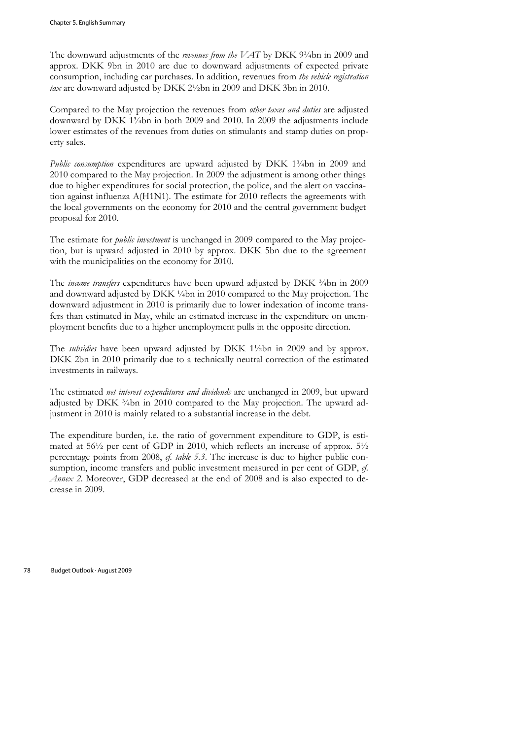The downward adjustments of the *revenues from the VAT* by DKK 9<sup>3</sup>/4bn in 2009 and approx. DKK 9bn in 2010 are due to downward adjustments of expected private consumption, including car purchases. In addition, revenues from *the vehicle registration tax* are downward adjusted by DKK 2½bn in 2009 and DKK 3bn in 2010.

Compared to the May projection the revenues from *other taxes and duties* are adjusted downward by DKK 1¾bn in both 2009 and 2010. In 2009 the adjustments include lower estimates of the revenues from duties on stimulants and stamp duties on property sales.

*Public consumption* expenditures are upward adjusted by DKK 1<sup>3</sup>/4bn in 2009 and 2010 compared to the May projection. In 2009 the adjustment is among other things due to higher expenditures for social protection, the police, and the alert on vaccination against influenza A(H1N1). The estimate for 2010 reflects the agreements with the local governments on the economy for 2010 and the central government budget proposal for 2010.

The estimate for *public investment* is unchanged in 2009 compared to the May projection, but is upward adjusted in 2010 by approx. DKK 5bn due to the agreement with the municipalities on the economy for 2010.

The *income transfers* expenditures have been upward adjusted by DKK  $\frac{3}{4}$ bn in 2009 and downward adjusted by DKK ¼bn in 2010 compared to the May projection. The downward adjustment in 2010 is primarily due to lower indexation of income transfers than estimated in May, while an estimated increase in the expenditure on unemployment benefits due to a higher unemployment pulls in the opposite direction.

The *subsidies* have been upward adjusted by DKK 1½bn in 2009 and by approx. DKK 2bn in 2010 primarily due to a technically neutral correction of the estimated investments in railways.

The estimated *net interest expenditures and dividends* are unchanged in 2009, but upward adjusted by DKK 3/4bn in 2010 compared to the May projection. The upward adjustment in 2010 is mainly related to a substantial increase in the debt.

The expenditure burden, i.e. the ratio of government expenditure to GDP, is estimated at 56½ per cent of GDP in 2010, which reflects an increase of approx. 5½ percentage points from 2008, *cf. table 5.3*. The increase is due to higher public consumption, income transfers and public investment measured in per cent of GDP, *cf. Annex 2*. Moreover, GDP decreased at the end of 2008 and is also expected to decrease in 2009.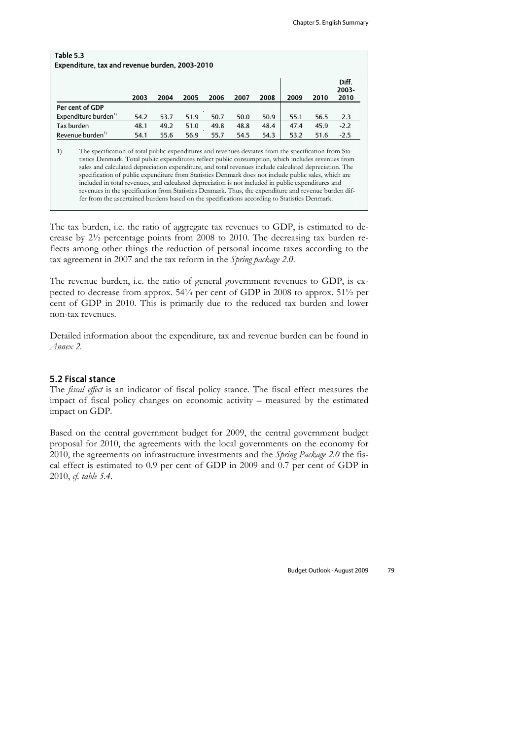| Table 5.3<br>Expenditure, tax and revenue burden, 2003-2010                                                                                                                                                                                                                                                                                                                                                                                                                                                                                                                                                                                                                                                                                         |      |      |      |      |      |      |      |      |                        |  |
|-----------------------------------------------------------------------------------------------------------------------------------------------------------------------------------------------------------------------------------------------------------------------------------------------------------------------------------------------------------------------------------------------------------------------------------------------------------------------------------------------------------------------------------------------------------------------------------------------------------------------------------------------------------------------------------------------------------------------------------------------------|------|------|------|------|------|------|------|------|------------------------|--|
|                                                                                                                                                                                                                                                                                                                                                                                                                                                                                                                                                                                                                                                                                                                                                     | 2003 | 2004 | 2005 | 2006 | 2007 | 2008 | 2009 | 2010 | Diff.<br>2003-<br>2010 |  |
| Per cent of GDP                                                                                                                                                                                                                                                                                                                                                                                                                                                                                                                                                                                                                                                                                                                                     |      |      |      |      |      |      |      |      |                        |  |
| Expenditure burden <sup>1)</sup>                                                                                                                                                                                                                                                                                                                                                                                                                                                                                                                                                                                                                                                                                                                    | 54.2 | 53.7 | 51.9 | 50.7 | 50.0 | 50.9 | 55.1 | 56.5 | 2.3                    |  |
| Tax burden                                                                                                                                                                                                                                                                                                                                                                                                                                                                                                                                                                                                                                                                                                                                          | 48.1 | 49.2 | 51.0 | 49.8 | 48.8 | 48.4 | 47.4 | 45.9 | $-2.2$                 |  |
| Revenue burden <sup>1)</sup>                                                                                                                                                                                                                                                                                                                                                                                                                                                                                                                                                                                                                                                                                                                        | 54.1 | 55.6 | 56.9 | 55.7 | 54.5 | 54.3 | 53.2 | 51.6 | $-2.5$                 |  |
| 1)<br>The specification of total public expenditures and revenues deviates from the specification from Sta-<br>tistics Denmark. Total public expenditures reflect public consumption, which includes revenues from<br>sales and calculated depreciation expenditure, and total revenues include calculated depreciation. The<br>specification of public expenditure from Statistics Denmark does not include public sales, which are<br>included in total revenues, and calculated depreciation is not included in public expenditures and<br>revenues in the specification from Statistics Denmark. Thus, the expenditure and revenue burden dif-<br>fer from the ascertained burdens based on the specifications according to Statistics Denmark. |      |      |      |      |      |      |      |      |                        |  |

The tax burden, i.e. the ratio of aggregate tax revenues to GDP, is estimated to decrease by 2½ percentage points from 2008 to 2010. The decreasing tax burden reflects among other things the reduction of personal income taxes according to the tax agreement in 2007 and the tax reform in the *Spring package 2.0*.

The revenue burden, i.e. the ratio of general government revenues to GDP, is expected to decrease from approx. 54¼ per cent of GDP in 2008 to approx. 51½ per cent of GDP in 2010. This is primarily due to the reduced tax burden and lower non-tax revenues.

Detailed information about the expenditure, tax and revenue burden can be found in *Annex 2*.

#### 5.2 Fiscal stance

The *fiscal effect* is an indicator of fiscal policy stance. The fiscal effect measures the impact of fiscal policy changes on economic activity – measured by the estimated impact on GDP.

Based on the central government budget for 2009, the central government budget proposal for 2010, the agreements with the local governments on the economy for 2010, the agreements on infrastructure investments and the *Spring Package 2.0* the fiscal effect is estimated to 0.9 per cent of GDP in 2009 and 0.7 per cent of GDP in 2010, *cf. table 5.4*.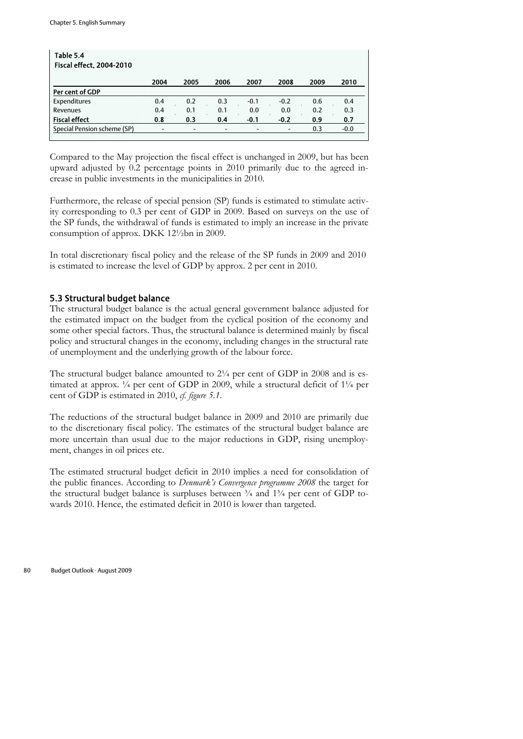| Table 5.4<br><b>Fiscal effect, 2004-2010</b> |                          |                          |                          |        |                          |      |        |
|----------------------------------------------|--------------------------|--------------------------|--------------------------|--------|--------------------------|------|--------|
|                                              | 2004                     | 2005                     | 2006                     | 2007   | 2008                     | 2009 | 2010   |
| Per cent of GDP                              |                          |                          |                          |        |                          |      |        |
| Expenditures                                 | 0.4                      | 0.2                      | 0.3                      | $-0.1$ | $-0.2$                   | 0.6  | 0.4    |
| Revenues                                     | 0.4                      | 0.1                      | 0.1                      | 0.0    | 0.0                      | 0.2  | 0.3    |
| <b>Fiscal effect</b>                         | 0.8                      | 0.3                      | 0.4                      | $-0.1$ | $-0.2$                   | 0.9  | 0.7    |
| Special Pension scheme (SP)                  | $\overline{\phantom{a}}$ | $\overline{\phantom{0}}$ | $\overline{\phantom{0}}$ |        | $\overline{\phantom{a}}$ | 0.3  | $-0.0$ |

Compared to the May projection the fiscal effect is unchanged in 2009, but has been upward adjusted by 0.2 percentage points in 2010 primarily due to the agreed increase in public investments in the municipalities in 2010.

Furthermore, the release of special pension (SP) funds is estimated to stimulate activity corresponding to 0.3 per cent of GDP in 2009. Based on surveys on the use of the SP funds, the withdrawal of funds is estimated to imply an increase in the private consumption of approx. DKK 12½bn in 2009.

In total discretionary fiscal policy and the release of the SP funds in 2009 and 2010 is estimated to increase the level of GDP by approx. 2 per cent in 2010.

## 5.3 Structural budget balance

The structural budget balance is the actual general government balance adjusted for the estimated impact on the budget from the cyclical position of the economy and some other special factors. Thus, the structural balance is determined mainly by fiscal policy and structural changes in the economy, including changes in the structural rate of unemployment and the underlying growth of the labour force.

The structural budget balance amounted to  $2\frac{1}{4}$  per cent of GDP in 2008 and is estimated at approx. ¼ per cent of GDP in 2009, while a structural deficit of 1¼ per cent of GDP is estimated in 2010, *cf. figure 5.1*.

The reductions of the structural budget balance in 2009 and 2010 are primarily due to the discretionary fiscal policy. The estimates of the structural budget balance are more uncertain than usual due to the major reductions in GDP, rising unemployment, changes in oil prices etc.

The estimated structural budget deficit in 2010 implies a need for consolidation of the public finances. According to *Denmark's Convergence programme 2008* the target for the structural budget balance is surpluses between  $\frac{3}{4}$  and  $\frac{13}{4}$  per cent of GDP towards 2010. Hence, the estimated deficit in 2010 is lower than targeted.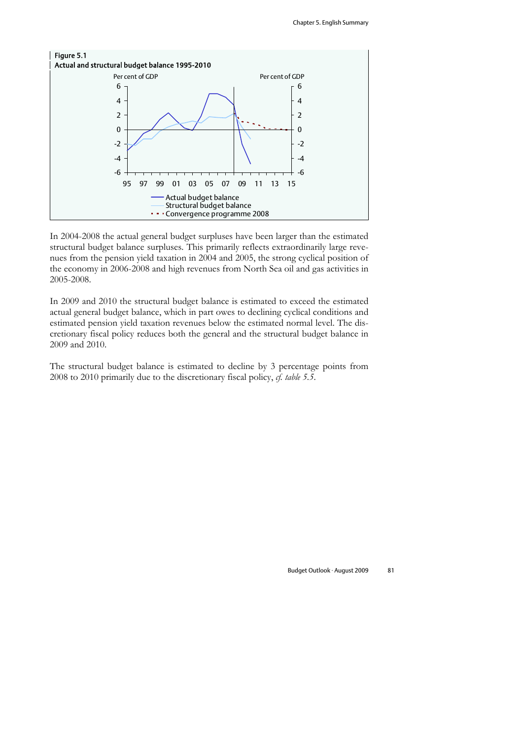

In 2004-2008 the actual general budget surpluses have been larger than the estimated structural budget balance surpluses. This primarily reflects extraordinarily large revenues from the pension yield taxation in 2004 and 2005, the strong cyclical position of the economy in 2006-2008 and high revenues from North Sea oil and gas activities in 2005-2008.

In 2009 and 2010 the structural budget balance is estimated to exceed the estimated actual general budget balance, which in part owes to declining cyclical conditions and estimated pension yield taxation revenues below the estimated normal level. The discretionary fiscal policy reduces both the general and the structural budget balance in 2009 and 2010.

The structural budget balance is estimated to decline by 3 percentage points from 2008 to 2010 primarily due to the discretionary fiscal policy, *cf. table 5.5*.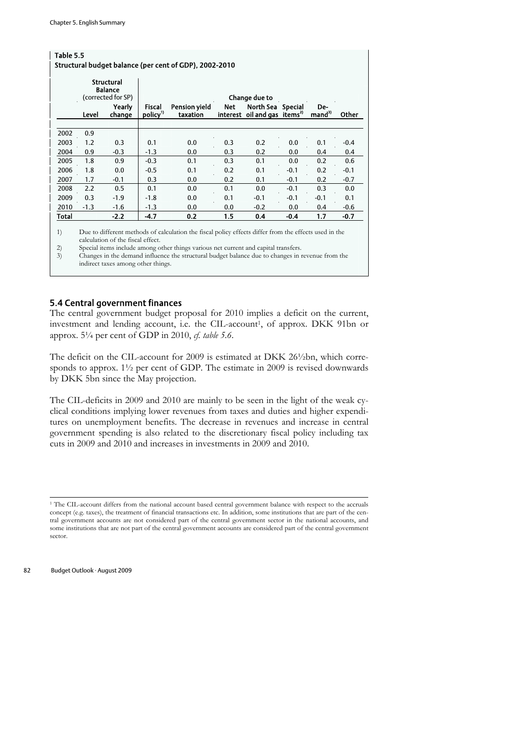| Table 5.5<br>Structural budget balance (per cent of GDP), 2002-2010 |        |                                                           |                   |                                  |            |                                                       |                |                           |        |  |
|---------------------------------------------------------------------|--------|-----------------------------------------------------------|-------------------|----------------------------------|------------|-------------------------------------------------------|----------------|---------------------------|--------|--|
|                                                                     |        | <b>Structural</b><br><b>Balance</b><br>(corrected for SP) |                   |                                  |            | <b>Change due to</b>                                  |                |                           |        |  |
|                                                                     | Level  | Yearly<br>change                                          | Fiscal<br>policy" | <b>Pension vield</b><br>taxation | <b>Net</b> | North Sea<br>interest oil and gas items <sup>2)</sup> | <b>Special</b> | De-<br>mand <sup>3)</sup> | Other  |  |
|                                                                     |        |                                                           |                   |                                  |            |                                                       |                |                           |        |  |
| 2002                                                                | 0.9    |                                                           |                   |                                  |            |                                                       |                |                           |        |  |
| 2003                                                                | 1.2    | 0.3                                                       | 0.1               | 0.0                              | 0.3        | 0.2                                                   | 0.0            | 0.1                       | $-0.4$ |  |
| 2004                                                                | 0.9    | $-0.3$                                                    | $-1.3$            | 0.0                              | 0.3        | 0.2                                                   | 0.0            | 0.4                       | 0.4    |  |
| 2005                                                                | 1.8    | 0.9                                                       | $-0.3$            | 0.1                              | 0.3        | 0.1                                                   | 0.0            | 0.2                       | 0.6    |  |
| 2006                                                                | 1.8    | 0.0                                                       | $-0.5$            | 0.1                              | 0.2        | 0.1                                                   | $-0.1$         | 0.2                       | $-0.1$ |  |
| 2007                                                                | 1.7    | $-0.1$                                                    | 0.3               | 0.0                              | 0.2        | 0.1                                                   | $-0.1$         | 0.2                       | $-0.7$ |  |
| 2008                                                                | 2.2    | 0.5                                                       | 0.1               | 0.0                              | 0.1        | 0.0                                                   | $-0.1$         | 0.3                       | 0.0    |  |
| 2009                                                                | 0.3    | $-1.9$                                                    | $-1.8$            | 0.0                              | 0.1        | $-0.1$                                                | $-0.1$         | $-0.1$                    | 0.1    |  |
| 2010                                                                | $-1.3$ | $-1.6$                                                    | $-1.3$            | 0.0                              | 0.0        | $-0.2$                                                | 0.0            | 0.4                       | $-0.6$ |  |
| Total                                                               |        | $-2.2$                                                    | $-4.7$            | 0.2                              | 1.5        | 0.4                                                   | $-0.4$         | 1.7                       | $-0.7$ |  |
|                                                                     |        |                                                           |                   |                                  |            |                                                       |                |                           |        |  |

1) Due to different methods of calculation the fiscal policy effects differ from the effects used in the calculation of the fiscal effect.

2) Special items include among other things various net current and capital transfers.<br>
3) Changes in the demand influence the structural budget balance due to changes in

3) Changes in the demand influence the structural budget balance due to changes in revenue from the indirect taxes among other things.

## 5.4 Central government finances

The central government budget proposal for 2010 implies a deficit on the current, investment and lending account, i.e. the CIL-account<sup>1</sup>, of approx. DKK 91bn or approx. 5¼ per cent of GDP in 2010, *cf. table 5.6*.

The deficit on the CIL-account for 2009 is estimated at DKK 26½bn, which corresponds to approx. 1½ per cent of GDP. The estimate in 2009 is revised downwards by DKK 5bn since the May projection.

The CIL-deficits in 2009 and 2010 are mainly to be seen in the light of the weak cyclical conditions implying lower revenues from taxes and duties and higher expenditures on unemployment benefits. The decrease in revenues and increase in central government spending is also related to the discretionary fiscal policy including tax cuts in 2009 and 2010 and increases in investments in 2009 and 2010.

<sup>1</sup> The CIL-account differs from the national account based central government balance with respect to the accruals concept (e.g. taxes), the treatment of financial transactions etc. In addition, some institutions that are part of the central government accounts are not considered part of the central government sector in the national accounts, and some institutions that are not part of the central government accounts are considered part of the central government sector.



 $\overline{a}$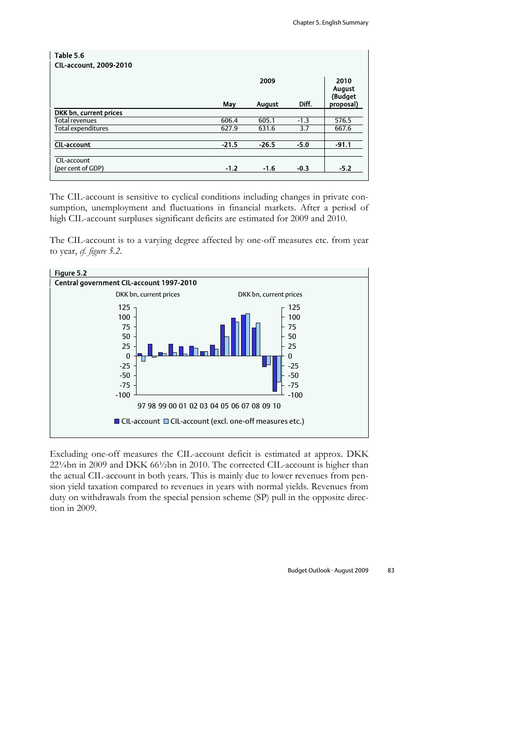| Table 5.6                     |         |                       |        |                                               |
|-------------------------------|---------|-----------------------|--------|-----------------------------------------------|
| <b>CIL-account, 2009-2010</b> |         |                       |        |                                               |
|                               | May     | 2009<br><b>August</b> | Diff.  | 2010<br><b>August</b><br>(Budget<br>proposal) |
| DKK bn, current prices        |         |                       |        |                                               |
| Total revenues                | 606.4   | 605.1                 | $-1.3$ | 576.5                                         |
| Total expenditures            | 627.9   | 631.6                 | 3.7    | 667.6                                         |
|                               |         |                       |        |                                               |
| <b>CIL-account</b>            | $-21.5$ | $-26.5$               | $-5.0$ | $-91.1$                                       |
|                               |         |                       |        |                                               |
| CIL-account                   |         |                       |        |                                               |
| (per cent of GDP)             | $-1.2$  | $-1.6$                | $-0.3$ | $-5.2$                                        |

The CIL-account is sensitive to cyclical conditions including changes in private consumption, unemployment and fluctuations in financial markets. After a period of high CIL-account surpluses significant deficits are estimated for 2009 and 2010.

The CIL-account is to a varying degree affected by one-off measures etc. from year to year, *cf. figure 5.2*.



Excluding one-off measures the CIL-account deficit is estimated at approx. DKK 22¼bn in 2009 and DKK 66½bn in 2010. The corrected CIL-account is higher than the actual CIL-account in both years. This is mainly due to lower revenues from pension yield taxation compared to revenues in years with normal yields. Revenues from duty on withdrawals from the special pension scheme (SP) pull in the opposite direction in 2009.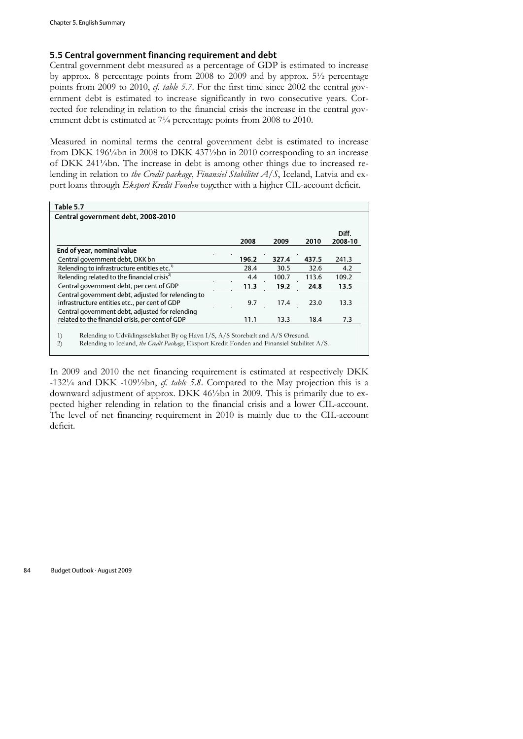## 5.5 Central government financing requirement and debt

Central government debt measured as a percentage of GDP is estimated to increase by approx. 8 percentage points from 2008 to 2009 and by approx. 5½ percentage points from 2009 to 2010, *cf. table 5.7*. For the first time since 2002 the central government debt is estimated to increase significantly in two consecutive years. Corrected for relending in relation to the financial crisis the increase in the central government debt is estimated at 7¼ percentage points from 2008 to 2010.

Measured in nominal terms the central government debt is estimated to increase from DKK 196¼bn in 2008 to DKK 437¼bn in 2010 corresponding to an increase of DKK 241¼bn. The increase in debt is among other things due to increased relending in relation to *the Credit package*, *Finansiel Stabilitet A/S*, Iceland, Latvia and export loans through *Eksport Kredit Fonden* together with a higher CIL-account deficit.

| Table 5.7                                               |       |       |       |                  |
|---------------------------------------------------------|-------|-------|-------|------------------|
| Central government debt, 2008-2010                      |       |       |       |                  |
|                                                         | 2008  | 2009  | 2010  | Diff.<br>2008-10 |
| End of year, nominal value                              |       |       |       |                  |
| Central government debt, DKK bn                         | 196.2 | 327.4 | 437.5 | 241.3            |
| Relending to infrastructure entities etc. <sup>1)</sup> | 28.4  | 30.5  | 32.6  | 4.2              |
| Relending related to the financial crisis <sup>2)</sup> | 4.4   | 100.7 | 113.6 | 109.2            |
| Central government debt, per cent of GDP                | 11.3  | 19.2  | 24.8  | 13.5             |
| Central government debt, adjusted for relending to      |       |       |       |                  |
| infrastructure entities etc., per cent of GDP           | 9.7   | 17.4  | 23.0  | 13.3             |
| Central government debt, adjusted for relending         |       |       |       |                  |
| related to the financial crisis, per cent of GDP        | 11.1  | 13.3  | 18.4  | 7.3              |

2) Relending to Iceland, *the Credit Package*, Eksport Kredit Fonden and Finansiel Stabilitet A/S.

In 2009 and 2010 the net financing requirement is estimated at respectively DKK -132¼ and DKK -109½bn, *cf. table 5.8*. Compared to the May projection this is a downward adjustment of approx. DKK 46½bn in 2009. This is primarily due to expected higher relending in relation to the financial crisis and a lower CIL-account. The level of net financing requirement in 2010 is mainly due to the CIL-account deficit.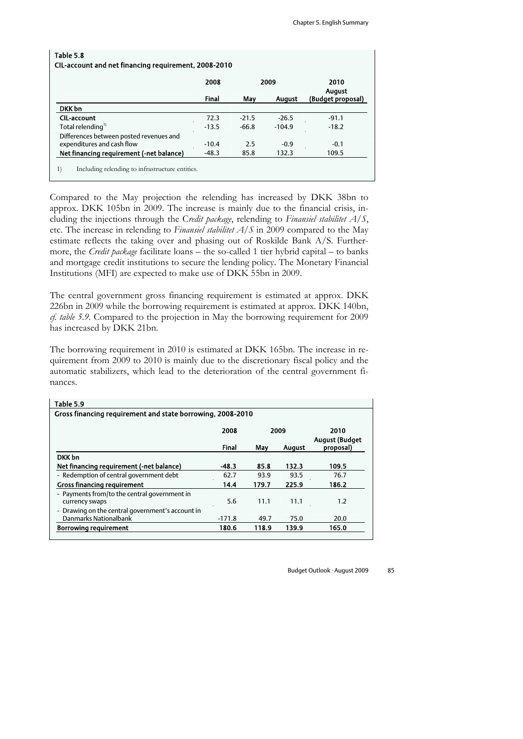|                                          | 2008    |         | 2009          | 2010<br><b>August</b> |
|------------------------------------------|---------|---------|---------------|-----------------------|
|                                          | Final   | May     | <b>August</b> | (Budget proposal)     |
| DKK bn                                   |         |         |               |                       |
| <b>CIL-account</b>                       | 72.3    | $-21.5$ | $-26.5$       | $-91.1$               |
| Total relending <sup>1)</sup>            | $-13.5$ | $-66.8$ | $-104.9$      | $-18.2$               |
| Differences between posted revenues and  |         |         |               |                       |
| expenditures and cash flow               | $-10.4$ | 2.5     | $-0.9$        | $-0.1$                |
| Net financing requirement (-net balance) | $-48.3$ | 85.8    | 132.3         | 109.5                 |

Compared to the May projection the relending has increased by DKK 38bn to approx. DKK 105bn in 2009. The increase is mainly due to the financial crisis, including the injections through the C*redit package*, relending to *Finansiel stabilitet A/S*, etc. The increase in relending to *Finansiel stabilitet A/S* in 2009 compared to the May estimate reflects the taking over and phasing out of Roskilde Bank A/S. Furthermore, the *Credit package* facilitate loans – the so-called 1 tier hybrid capital – to banks and mortgage credit institutions to secure the lending policy. The Monetary Financial Institutions (MFI) are expected to make use of DKK 55bn in 2009.

The central government gross financing requirement is estimated at approx. DKK 226bn in 2009 while the borrowing requirement is estimated at approx. DKK 140bn, *cf. table 5.9*. Compared to the projection in May the borrowing requirement for 2009 has increased by DKK 21bn.

The borrowing requirement in 2010 is estimated at DKK 165bn. The increase in requirement from 2009 to 2010 is mainly due to the discretionary fiscal policy and the automatic stabilizers, which lead to the deterioration of the central government finances.

| Table 5.9                                                  |                               |       |               |           |  |  |  |  |  |
|------------------------------------------------------------|-------------------------------|-------|---------------|-----------|--|--|--|--|--|
| Gross financing requirement and state borrowing, 2008-2010 |                               |       |               |           |  |  |  |  |  |
|                                                            | 2010<br><b>August (Budget</b> |       |               |           |  |  |  |  |  |
|                                                            | <b>Final</b>                  | May   | <b>August</b> | proposal) |  |  |  |  |  |
| DKK bn                                                     |                               |       |               |           |  |  |  |  |  |
| Net financing requirement (-net balance)                   | $-48.3$                       | 85.8  | 132.3         | 109.5     |  |  |  |  |  |
| - Redemption of central government debt                    | 62.7                          | 93.9  | 93.5          | 76.7      |  |  |  |  |  |
| <b>Gross financing requirement</b>                         | 14.4                          | 179.7 | 225.9         | 186.2     |  |  |  |  |  |
| - Payments from/to the central government in               |                               |       |               |           |  |  |  |  |  |
| currency swaps                                             | 5.6                           | 11.1  | 11.1          | 1.2       |  |  |  |  |  |
| - Drawing on the central government's account in           |                               |       |               |           |  |  |  |  |  |
| Danmarks Nationalbank                                      | $-171.8$                      | 49.7  | 75.0          | 20.0      |  |  |  |  |  |
| <b>Borrowing requirement</b>                               | 180.6                         | 118.9 | 139.9         | 165.0     |  |  |  |  |  |
|                                                            |                               |       |               |           |  |  |  |  |  |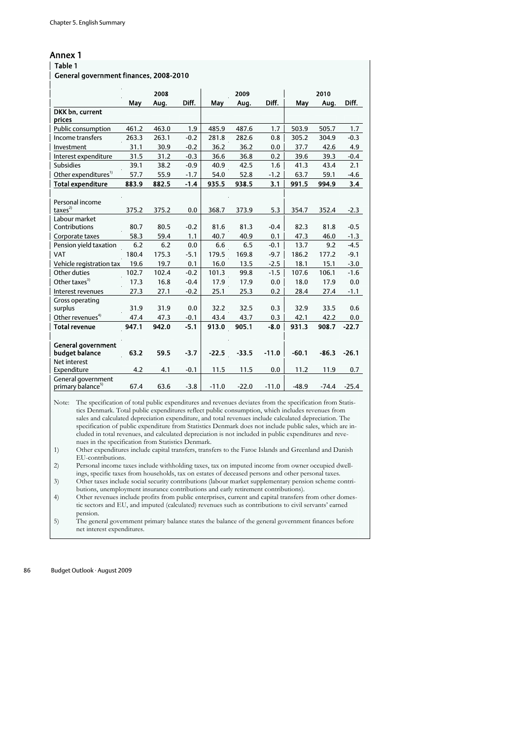#### Annex 1

| Table 1                                |       |              |        |         |              |         |         |              |         |
|----------------------------------------|-------|--------------|--------|---------|--------------|---------|---------|--------------|---------|
| General government finances, 2008-2010 |       |              |        |         |              |         |         |              |         |
|                                        |       |              |        |         |              |         |         |              |         |
|                                        | May   | 2008<br>Aug. | Diff.  | May     | 2009<br>Aug. | Diff.   | May     | 2010<br>Aug. | Diff.   |
| DKK bn, current                        |       |              |        |         |              |         |         |              |         |
| prices                                 |       |              |        |         |              |         |         |              |         |
| Public consumption                     | 461.2 | 463.0        | 1.9    | 485.9   | 487.6        | 1.7     | 503.9   | 505.7        | 1.7     |
| Income transfers                       | 263.3 | 263.1        | $-0.2$ | 281.8   | 282.6        | 0.8     | 305.2   | 304.9        | $-0.3$  |
| Investment                             | 31.1  | 30.9         | $-0.2$ | 36.2    | 36.2         | 0.0     | 37.7    | 42.6         | 4.9     |
| Interest expenditure                   | 31.5  | 31.2         | $-0.3$ | 36.6    | 36.8         | 0.2     | 39.6    | 39.3         | $-0.4$  |
| <b>Subsidies</b>                       | 39.1  | 38.2         | $-0.9$ | 40.9    | 42.5         | 1.6     | 41.3    | 43.4         | 2.1     |
| Other expenditures <sup>1)</sup>       | 57.7  | 55.9         | $-1.7$ | 54.0    | 52.8         | $-1.2$  | 63.7    | 59.1         | $-4.6$  |
| <b>Total expenditure</b>               | 883.9 | 882.5        | $-1.4$ | 935.5   | 938.5        | 3.1     | 991.5   | 994.9        | 3.4     |
|                                        |       |              |        |         |              |         |         |              |         |
| Personal income                        |       |              |        |         |              |         |         |              |         |
| taxes <sup>2</sup>                     | 375.2 | 375.2        | 0.0    | 368.7   | 373.9        | 5.3     | 354.7   | 352.4        | $-2.3$  |
| Labour market                          |       |              |        |         |              |         |         |              |         |
| Contributions                          | 80.7  | 80.5         | $-0.2$ | 81.6    | 81.3         | $-0.4$  | 82.3    | 81.8         | $-0.5$  |
| Corporate taxes                        | 58.3  | 59.4         | 1.1    | 40.7    | 40.9         | 0.1     | 47.3    | 46.0         | $-1.3$  |
| Pension yield taxation                 | 6.2   | 6.2          | 0.0    | 6.6     | 6.5          | $-0.1$  | 13.7    | 9.2          | $-4.5$  |
| VAT                                    | 180.4 | 175.3        | $-5.1$ | 179.5   | 169.8        | $-9.7$  | 186.2   | 177.2        | $-9.1$  |
| Vehicle registration tax               | 19.6  | 19.7         | 0.1    | 16.0    | 13.5         | $-2.5$  | 18.1    | 15.1         | $-3.0$  |
| Other duties                           | 102.7 | 102.4        | $-0.2$ | 101.3   | 99.8         | $-1.5$  | 107.6   | 106.1        | $-1.6$  |
| Other taxes <sup>3)</sup>              | 17.3  | 16.8         | $-0.4$ | 17.9    | 17.9         | 0.0     | 18.0    | 17.9         | 0.0     |
| Interest revenues                      | 27.3  | 27.1         | $-0.2$ | 25.1    | 25.3         | 0.2     | 28.4    | 27.4         | $-1.1$  |
| Gross operating                        |       |              |        |         |              |         |         |              |         |
| surplus                                | 31.9  | 31.9         | 0.0    | 32.2    | 32.5         | 0.3     | 32.9    | 33.5         | 0.6     |
| Other revenues <sup>4)</sup>           | 47.4  | 47.3         | $-0.1$ | 43.4    | 43.7         | 0.3     | 42.1    | 42.2         | 0.0     |
| <b>Total revenue</b>                   | 947.1 | 942.0        | $-5.1$ | 913.0   | 905.1        | $-8.0$  | 931.3   | 908.7        | $-22.7$ |
| <b>General government</b>              |       |              |        |         |              |         |         |              |         |
| budget balance                         | 63.2  | 59.5         | $-3.7$ | $-22.5$ | $-33.5$      | $-11.0$ | $-60.1$ | $-86.3$      | $-26.1$ |
| Net interest                           |       |              |        |         |              |         |         |              |         |
| Expenditure                            | 4.2   | 4.1          | $-0.1$ | 11.5    | 11.5         | 0.0     | 11.2    | 11.9         | 0.7     |
| General government                     |       |              |        |         |              |         |         |              |         |
| primary balance <sup>5)</sup>          | 67.4  | 63.6         | $-3.8$ | $-11.0$ | $-22.0$      | $-11.0$ | $-48.9$ | $-74.4$      | $-25.4$ |

Note: The specification of total public expenditures and revenues deviates from the specification from Statistics Denmark. Total public expenditures reflect public consumption, which includes revenues from sales and calculated depreciation expenditure, and total revenues include calculated depreciation. The specification of public expenditure from Statistics Denmark does not include public sales, which are included in total revenues, and calculated depreciation is not included in public expenditures and revenues in the specification from Statistics Denmark.

1) Other expenditures include capital transfers, transfers to the Faroe Islands and Greenland and Danish EU-contributions.

2) Personal income taxes include withholding taxes, tax on imputed income from owner occupied dwellings, specific taxes from households, tax on estates of deceased persons and other personal taxes.

3) Other taxes include social security contributions (labour market supplementary pension scheme contributions, unemployment insurance contributions and early retirement contributions).

4) Other revenues include profits from public enterprises, current and capital transfers from other domestic sectors and EU, and imputed (calculated) revenues such as contributions to civil servants' earned pension.

5) The general government primary balance states the balance of the general government finances before net interest expenditures.